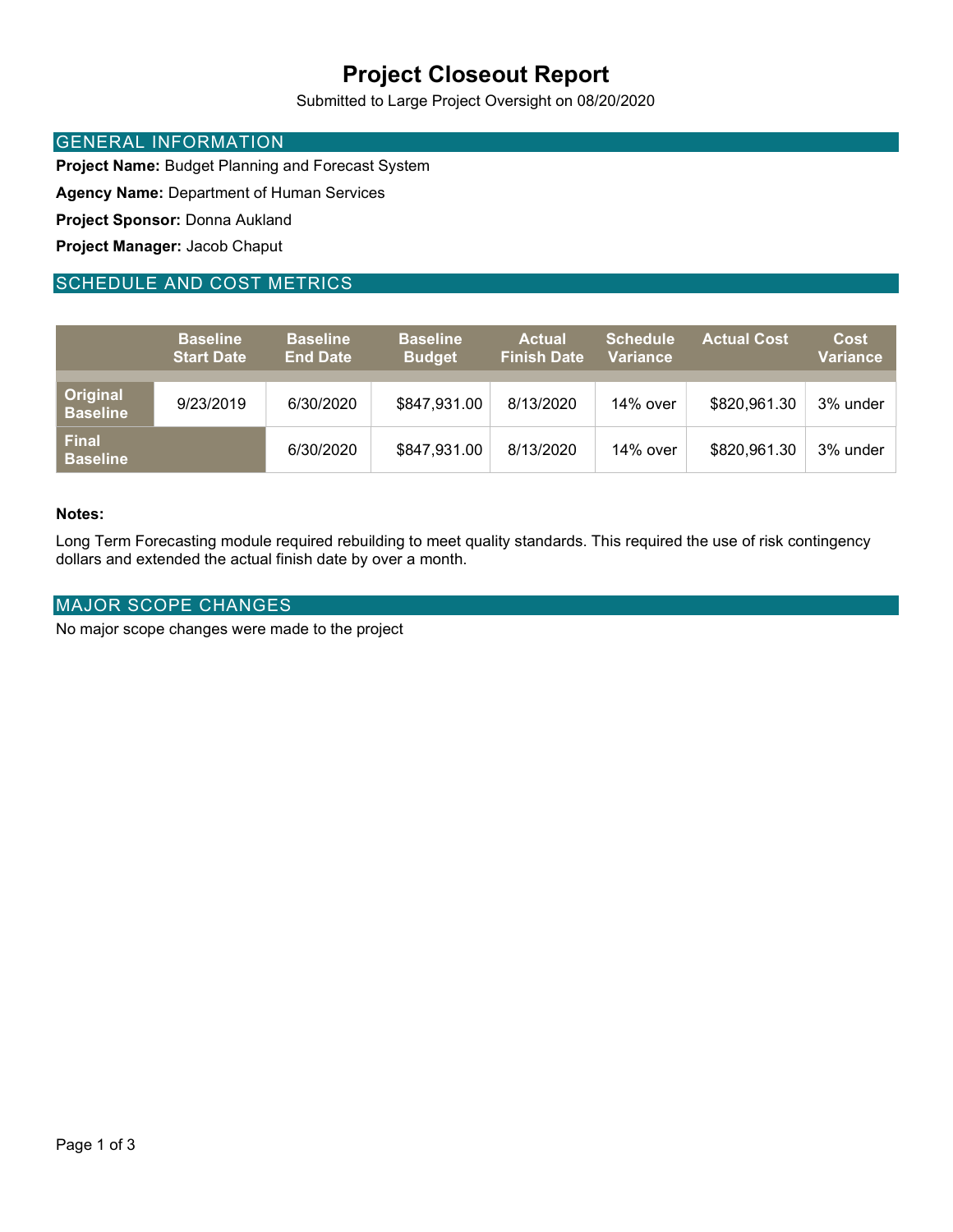# Project Closeout Report

Submitted to Large Project Oversight on 08/20/2020

### GENERAL INFORMATION

Project Name: Budget Planning and Forecast System

Agency Name: Department of Human Services

Project Sponsor: Donna Aukland

Project Manager: Jacob Chaput

### SCHEDULE AND COST METRICS

|                                 | <b>Baseline</b><br><b>Start Date</b> | <b>Baseline</b><br><b>End Date</b> | <b>Baseline</b><br><b>Budget</b> | <b>Actual</b><br><b>Finish Date</b> | <b>Schedule</b><br><b>Variance</b> | <b>Actual Cost</b> | <b>Cost</b><br>Variance |
|---------------------------------|--------------------------------------|------------------------------------|----------------------------------|-------------------------------------|------------------------------------|--------------------|-------------------------|
| Original<br><b>Baseline</b>     | 9/23/2019                            | 6/30/2020                          | \$847,931.00                     | 8/13/2020                           | 14% over                           | \$820,961.30       | 3% under                |
| <b>Final</b><br><b>Baseline</b> |                                      | 6/30/2020                          | \$847,931.00                     | 8/13/2020                           | 14% over                           | \$820,961.30       | 3% under                |

### Notes:

Long Term Forecasting module required rebuilding to meet quality standards. This required the use of risk contingency dollars and extended the actual finish date by over a month.

### MAJOR SCOPE CHANGES

No major scope changes were made to the project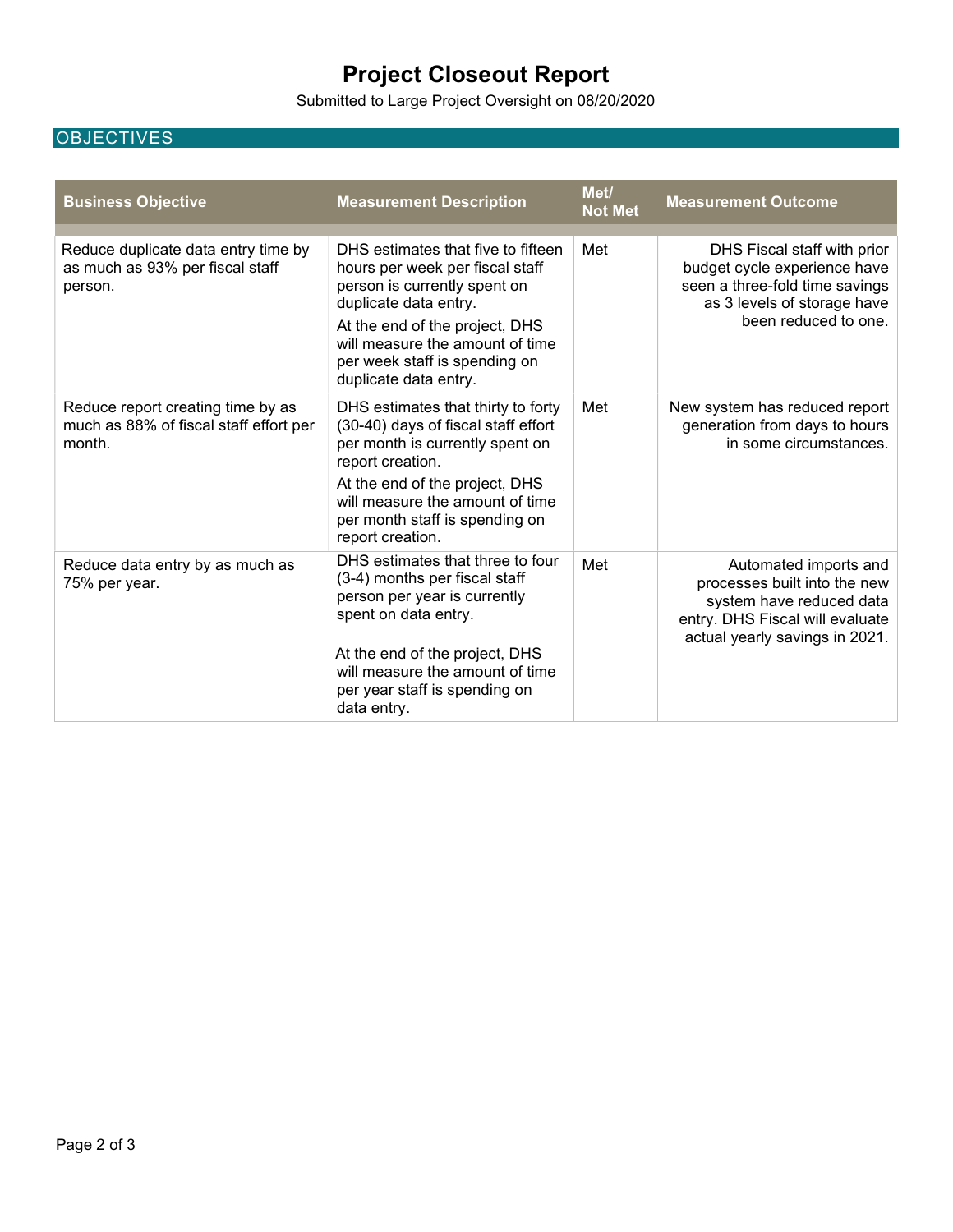# Project Closeout Report

Submitted to Large Project Oversight on 08/20/2020

### **OBJECTIVES**

| <b>Business Objective</b>                                                             | <b>Measurement Description</b>                                                                                                                                                                                                                                | Met/<br><b>Not Met</b> | <b>Measurement Outcome</b>                                                                                                                             |
|---------------------------------------------------------------------------------------|---------------------------------------------------------------------------------------------------------------------------------------------------------------------------------------------------------------------------------------------------------------|------------------------|--------------------------------------------------------------------------------------------------------------------------------------------------------|
| Reduce duplicate data entry time by<br>as much as 93% per fiscal staff<br>person.     | DHS estimates that five to fifteen<br>hours per week per fiscal staff<br>person is currently spent on<br>duplicate data entry.<br>At the end of the project, DHS<br>will measure the amount of time<br>per week staff is spending on<br>duplicate data entry. | Met                    | DHS Fiscal staff with prior<br>budget cycle experience have<br>seen a three-fold time savings<br>as 3 levels of storage have<br>been reduced to one.   |
| Reduce report creating time by as<br>much as 88% of fiscal staff effort per<br>month. | DHS estimates that thirty to forty<br>(30-40) days of fiscal staff effort<br>per month is currently spent on<br>report creation.<br>At the end of the project, DHS<br>will measure the amount of time<br>per month staff is spending on<br>report creation.   | Met                    | New system has reduced report<br>generation from days to hours<br>in some circumstances.                                                               |
| Reduce data entry by as much as<br>75% per year.                                      | DHS estimates that three to four<br>(3-4) months per fiscal staff<br>person per year is currently<br>spent on data entry.<br>At the end of the project, DHS<br>will measure the amount of time<br>per year staff is spending on<br>data entry.                | Met                    | Automated imports and<br>processes built into the new<br>system have reduced data<br>entry. DHS Fiscal will evaluate<br>actual yearly savings in 2021. |